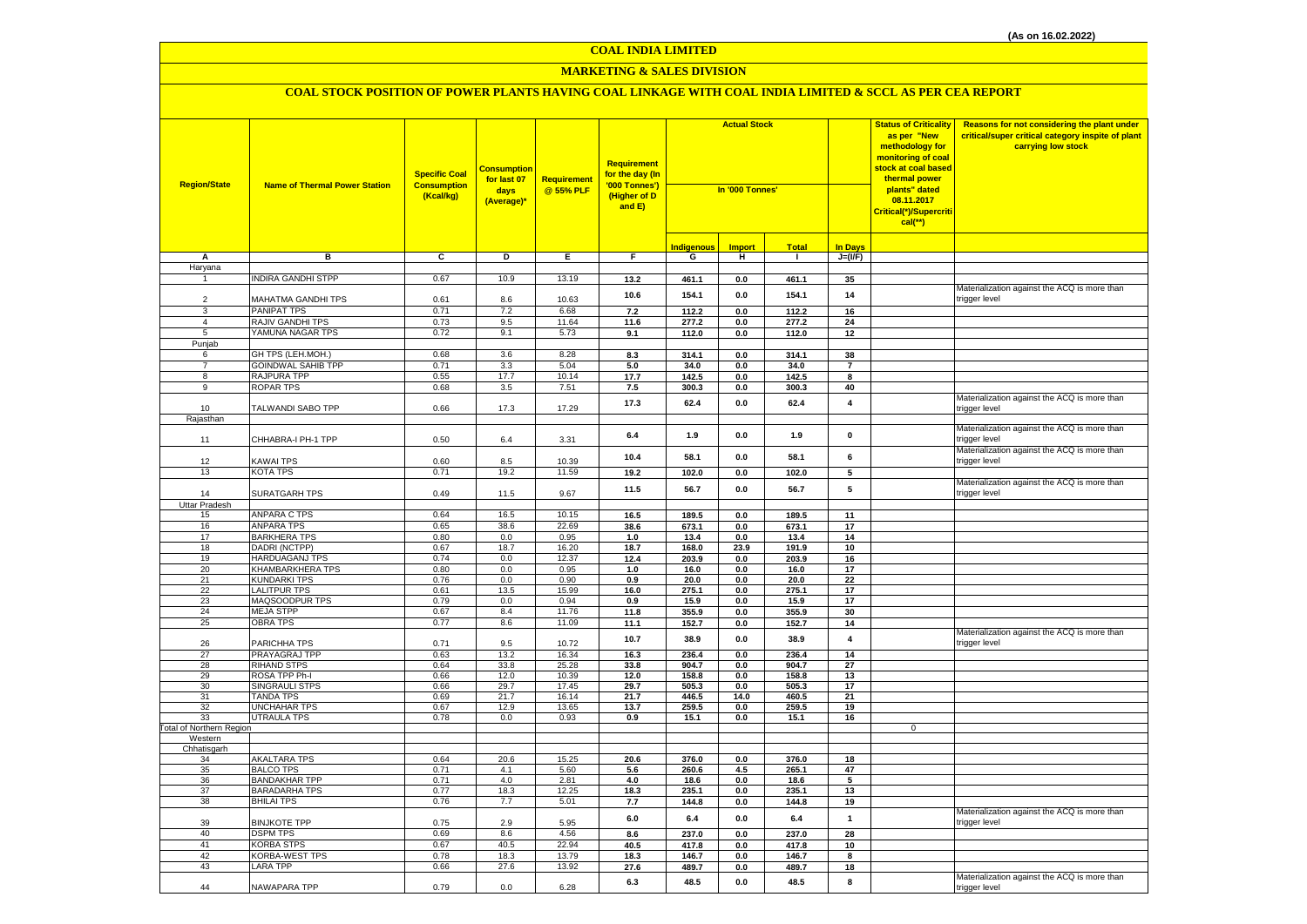#### **MARKETING & SALES DIVISION**

| <b>In Days</b><br><b>Indigenous</b><br><b>Import</b><br><b>Total</b><br>в<br>C<br>D<br>Е.<br>$J=(VF)$<br>Α<br>F.<br>G<br>н<br>$\mathbf{I}$<br>Haryana<br><b>INDIRA GANDHI STPP</b><br>0.67<br>10.9<br>13.19<br>13.2<br>461.1<br>461.1<br>$\mathbf{1}$<br>0.0<br>35<br>Materialization against the ACQ is more than<br>154.1<br>10.6<br>0.0<br>154.1<br>14<br>trigger level<br>MAHATMA GANDHI TPS<br>0.61<br>10.63<br>$\mathcal{P}$<br>8.6<br><b>PANIPAT TPS</b><br>0.71<br>7.2<br>6.68<br>7.2<br>112.2<br>0.0<br>112.2<br>16<br>$\mathbf{B}$<br>RAJIV GANDHI TPS<br>9.5<br>11.64<br>$\overline{4}$<br>0.73<br>11.6<br>277.2<br>277.2<br>0.0<br>24<br>YAMUNA NAGAR TPS<br>9.1<br>0.72<br>5.73<br>9.1<br>112.0<br>$0.0\,$<br>112.0<br>$12\,$<br>5<br>Punjab<br>GH TPS (LEH.MOH.)<br>0.68<br>3.6<br>8.28<br>314.1<br>38<br>8.3<br>314.1<br>$0.0\,$<br>6<br><b>GOINDWAL SAHIB TPP</b><br>0.71<br>3.3<br>5.04<br>$\overline{7}$<br>5.0<br>34.0<br>0.0<br>34.0<br>$\overline{7}$<br>RAJPURA TPP<br>10.14<br>0.55<br>17.7<br>17.7<br>142.5<br>0.0<br>142.5<br>8<br>8<br>9<br><b>ROPAR TPS</b><br>0.68<br>3.5<br>7.51<br>7.5<br>300.3<br>0.0<br>300.3<br>40<br>Materialization against the ACQ is more than<br>17.3<br>62.4<br>0.0<br>62.4<br>4<br>10<br>TALWANDI SABO TPP<br>0.66<br>17.3<br>17.29<br>trigger level<br>Rajasthan<br>Materialization against the ACQ is more than<br>$0.0\,$<br>$\pmb{0}$<br>6.4<br>1.9<br>1.9<br>CHHABRA-I PH-1 TPP<br>0.50<br>$6.4\,$<br>3.31<br>rigger level<br>11<br>Materialization against the ACQ is more than<br>58.1<br>6<br>10.4<br>0.0<br>58.1<br>0.60<br>8.5<br>10.39<br>12<br><b>KAWAI TPS</b><br>trigger level<br>11.59<br><b>KOTA TPS</b><br>19.2<br>13<br>0.71<br>19.2<br>102.0<br>102.0<br>0.0<br>5<br>Materialization against the ACQ is more than<br>11.5<br>56.7<br>0.0<br>56.7<br>5<br><b>SURATGARH TPS</b><br>0.49<br>11.5<br>9.67<br>trigger level<br>14<br><b>Uttar Pradesh</b><br><b>ANPARA C TPS</b><br>10.15<br>0.64<br>16.5<br>15<br>16.5<br>189.5<br>$0.0\,$<br>189.5<br>11<br><b>ANPARA TPS</b><br>0.65<br>38.6<br>22.69<br>16<br>38.6<br>$17\,$<br>673.1<br>0.0<br>673.1<br>17<br><b>BARKHERA TPS</b><br>0.80<br>0.0<br>0.95<br>1.0<br>13.4<br>0.0<br>13.4<br>14<br>18<br>DADRI (NCTPP)<br>0.67<br>18.7<br>16.20<br>18.7<br>168.0<br>23.9<br>191.9<br>10<br>19<br><b>HARDUAGANJ TPS</b><br>0.74<br>0.0<br>12.37<br>203.9<br>12.4<br>203.9<br>0.0<br>16<br><b>KHAMBARKHERA TPS</b><br>20<br>0.80<br>0.0<br>0.95<br>1.0<br>16.0<br>0.0<br>16.0<br>17<br>21<br><b>KUNDARKI TPS</b><br>0.76<br>0.0<br>0.90<br>0.9<br>20.0<br>$\mathbf{0.0}$<br>22<br>20.0<br>22<br><b>LALITPUR TPS</b><br>0.61<br>13.5<br>15.99<br>16.0<br>275.1<br>275.1<br>17<br>0.0<br>MAQSOODPUR TPS<br>23<br>0.79<br>0.0<br>0.94<br>15.9<br>17<br>0.9<br>$0.0\,$<br>15.9<br>24<br><b>MEJA STPP</b><br>0.67<br>8.4<br>11.76<br>11.8<br>355.9<br>355.9<br>30<br>0.0<br>25<br>OBRA TPS<br>0.77<br>8.6<br>11.09<br>11.1<br>152.7<br>0.0<br>152.7<br>14<br>Materialization against the ACQ is more than<br>10.7<br>38.9<br>0.0<br>38.9<br>$\overline{4}$<br>26<br>PARICHHA TPS<br>0.71<br>9.5<br>10.72<br>trigger level<br>PRAYAGRAJ TPP<br>0.63<br>13.2<br>16.34<br>27<br>16.3<br>236.4<br>0.0<br>236.4<br>14<br><b>RIHAND STPS</b><br>28<br>0.64<br>33.8<br>25.28<br>33.8<br>904.7<br>0.0<br>904.7<br>27<br>29<br>ROSA TPP Ph-I<br>0.66<br>12.0<br>10.39<br>158.8<br>13<br>12.0<br>0.0<br>158.8<br><b>SINGRAULI STPS</b><br>0.66<br>29.7<br>17.45<br>17<br>30<br>29.7<br>505.3<br>0.0<br>505.3<br><b>TANDA TPS</b><br>0.69<br>21.7<br>16.14<br>21.7<br>446.5<br>14.0<br>460.5<br>21<br>31<br><b>UNCHAHAR TPS</b><br>0.67<br>12.9<br>13.65<br>13.7<br>259.5<br>0.0<br>259.5<br>19<br>32<br><b>UTRAULA TPS</b><br>0.78<br>0.0<br>0.93<br>0.9<br>15.1<br>0.0<br>15.1<br>16<br>33<br><b>Total of Northern Region</b><br>0<br>Western<br>Chhatisgarh<br><b>AKALTARA TPS</b><br>0.64<br>20.6<br>15.25<br>20.6<br>376.0<br>$0.0\,$<br>376.0<br>18<br>34<br><b>BALCO TPS</b><br>0.71<br>4.1<br>5.6<br>260.6<br>4.5<br>265.1<br>47<br>35<br>5.60<br><b>BANDAKHAR TPP</b><br>4.0<br>0.71<br>2.81<br>4.0<br>18.6<br>0.0<br>5<br>36<br>18.6<br><b>BARADARHA TPS</b><br>0.77<br>18.3<br>12.25<br>37<br>18.3<br>235.1<br>0.0<br>235.1<br>13<br><b>BHILAI TPS</b><br>0.76<br>5.01<br>38<br>7.7<br>7.7<br>144.8<br>0.0<br>144.8<br>19<br>Materialization against the ACQ is more than<br>6.0<br>6.4<br>0.0<br>6.4<br>$\mathbf{1}$<br><b>BINJKOTE TPP</b><br>0.75<br>2.9<br>5.95<br>trigger level<br>39<br>40<br><b>DSPM TPS</b><br>0.69<br>8.6<br>4.56<br>8.6<br>237.0<br>0.0<br>237.0<br>28<br>41<br><b>KORBA STPS</b><br>0.67<br>40.5<br>22.94<br>40.5<br>417.8<br>417.8<br>$0.0\,$<br>$10\,$<br>42<br><b>KORBA-WEST TPS</b><br>0.78<br>18.3<br>13.79<br>18.3<br>146.7<br>146.7<br>0.0<br>8<br>27.6<br>13.92<br>43<br><b>LARA TPP</b><br>0.66<br>27.6<br>489.7<br>0.0<br>489.7<br>18<br>Materialization against the ACQ is more than<br>6.3<br>48.5<br>0.0<br>48.5<br>8<br>6.28<br>44<br>NAWAPARA TPP<br>0.79<br>0.0<br>trigger level | <b>Region/State</b> | <b>Name of Thermal Power Station</b> | <b>Specific Coal</b><br><b>Consumption</b><br>(Kcal/kg) | <b>Consumption</b><br>for last 07<br>days<br>(Average)* | <b>Requirement</b><br>@ 55% PLF | Requirement<br>for the day (In<br>'000 Tonnes')<br>(Higher of D<br>and E) | <b>Actual Stock</b><br>In '000 Tonnes' |  | <b>Status of Criticality</b><br>as per "New<br>methodology for<br>monitoring of coal<br><mark>stock at coal based</mark><br>thermal power<br>plants" dated<br>08.11.2017<br>Critical(*)/Supercriti<br>$cal$ (**) | Reasons for not considering the plant under<br>critical/super critical category inspite of plant<br>carrying low stock |  |
|----------------------------------------------------------------------------------------------------------------------------------------------------------------------------------------------------------------------------------------------------------------------------------------------------------------------------------------------------------------------------------------------------------------------------------------------------------------------------------------------------------------------------------------------------------------------------------------------------------------------------------------------------------------------------------------------------------------------------------------------------------------------------------------------------------------------------------------------------------------------------------------------------------------------------------------------------------------------------------------------------------------------------------------------------------------------------------------------------------------------------------------------------------------------------------------------------------------------------------------------------------------------------------------------------------------------------------------------------------------------------------------------------------------------------------------------------------------------------------------------------------------------------------------------------------------------------------------------------------------------------------------------------------------------------------------------------------------------------------------------------------------------------------------------------------------------------------------------------------------------------------------------------------------------------------------------------------------------------------------------------------------------------------------------------------------------------------------------------------------------------------------------------------------------------------------------------------------------------------------------------------------------------------------------------------------------------------------------------------------------------------------------------------------------------------------------------------------------------------------------------------------------------------------------------------------------------------------------------------------------------------------------------------------------------------------------------------------------------------------------------------------------------------------------------------------------------------------------------------------------------------------------------------------------------------------------------------------------------------------------------------------------------------------------------------------------------------------------------------------------------------------------------------------------------------------------------------------------------------------------------------------------------------------------------------------------------------------------------------------------------------------------------------------------------------------------------------------------------------------------------------------------------------------------------------------------------------------------------------------------------------------------------------------------------------------------------------------------------------------------------------------------------------------------------------------------------------------------------------------------------------------------------------------------------------------------------------------------------------------------------------------------------------------------------------------------------------------------------------------------------------------------------------------------------------------------------------------------------------------------------------------------------------------------------------------------------------------------------------------------------------------------------------------------------------------------------------------------------------------------------------------------------------------------------------------------------------------------------------------------------------------------------------------------------------------------------------------------------------------------------------------------------------------------------------------------------------------------------------------------------------------------------------------------------------------------------------------------------------------------------------------------------------------------|---------------------|--------------------------------------|---------------------------------------------------------|---------------------------------------------------------|---------------------------------|---------------------------------------------------------------------------|----------------------------------------|--|------------------------------------------------------------------------------------------------------------------------------------------------------------------------------------------------------------------|------------------------------------------------------------------------------------------------------------------------|--|
|                                                                                                                                                                                                                                                                                                                                                                                                                                                                                                                                                                                                                                                                                                                                                                                                                                                                                                                                                                                                                                                                                                                                                                                                                                                                                                                                                                                                                                                                                                                                                                                                                                                                                                                                                                                                                                                                                                                                                                                                                                                                                                                                                                                                                                                                                                                                                                                                                                                                                                                                                                                                                                                                                                                                                                                                                                                                                                                                                                                                                                                                                                                                                                                                                                                                                                                                                                                                                                                                                                                                                                                                                                                                                                                                                                                                                                                                                                                                                                                                                                                                                                                                                                                                                                                                                                                                                                                                                                                                                                                                                                                                                                                                                                                                                                                                                                                                                                                                                                                                                                              |                     |                                      |                                                         |                                                         |                                 |                                                                           |                                        |  |                                                                                                                                                                                                                  |                                                                                                                        |  |
|                                                                                                                                                                                                                                                                                                                                                                                                                                                                                                                                                                                                                                                                                                                                                                                                                                                                                                                                                                                                                                                                                                                                                                                                                                                                                                                                                                                                                                                                                                                                                                                                                                                                                                                                                                                                                                                                                                                                                                                                                                                                                                                                                                                                                                                                                                                                                                                                                                                                                                                                                                                                                                                                                                                                                                                                                                                                                                                                                                                                                                                                                                                                                                                                                                                                                                                                                                                                                                                                                                                                                                                                                                                                                                                                                                                                                                                                                                                                                                                                                                                                                                                                                                                                                                                                                                                                                                                                                                                                                                                                                                                                                                                                                                                                                                                                                                                                                                                                                                                                                                              |                     |                                      |                                                         |                                                         |                                 |                                                                           |                                        |  |                                                                                                                                                                                                                  |                                                                                                                        |  |
|                                                                                                                                                                                                                                                                                                                                                                                                                                                                                                                                                                                                                                                                                                                                                                                                                                                                                                                                                                                                                                                                                                                                                                                                                                                                                                                                                                                                                                                                                                                                                                                                                                                                                                                                                                                                                                                                                                                                                                                                                                                                                                                                                                                                                                                                                                                                                                                                                                                                                                                                                                                                                                                                                                                                                                                                                                                                                                                                                                                                                                                                                                                                                                                                                                                                                                                                                                                                                                                                                                                                                                                                                                                                                                                                                                                                                                                                                                                                                                                                                                                                                                                                                                                                                                                                                                                                                                                                                                                                                                                                                                                                                                                                                                                                                                                                                                                                                                                                                                                                                                              |                     |                                      |                                                         |                                                         |                                 |                                                                           |                                        |  |                                                                                                                                                                                                                  |                                                                                                                        |  |
|                                                                                                                                                                                                                                                                                                                                                                                                                                                                                                                                                                                                                                                                                                                                                                                                                                                                                                                                                                                                                                                                                                                                                                                                                                                                                                                                                                                                                                                                                                                                                                                                                                                                                                                                                                                                                                                                                                                                                                                                                                                                                                                                                                                                                                                                                                                                                                                                                                                                                                                                                                                                                                                                                                                                                                                                                                                                                                                                                                                                                                                                                                                                                                                                                                                                                                                                                                                                                                                                                                                                                                                                                                                                                                                                                                                                                                                                                                                                                                                                                                                                                                                                                                                                                                                                                                                                                                                                                                                                                                                                                                                                                                                                                                                                                                                                                                                                                                                                                                                                                                              |                     |                                      |                                                         |                                                         |                                 |                                                                           |                                        |  |                                                                                                                                                                                                                  |                                                                                                                        |  |
|                                                                                                                                                                                                                                                                                                                                                                                                                                                                                                                                                                                                                                                                                                                                                                                                                                                                                                                                                                                                                                                                                                                                                                                                                                                                                                                                                                                                                                                                                                                                                                                                                                                                                                                                                                                                                                                                                                                                                                                                                                                                                                                                                                                                                                                                                                                                                                                                                                                                                                                                                                                                                                                                                                                                                                                                                                                                                                                                                                                                                                                                                                                                                                                                                                                                                                                                                                                                                                                                                                                                                                                                                                                                                                                                                                                                                                                                                                                                                                                                                                                                                                                                                                                                                                                                                                                                                                                                                                                                                                                                                                                                                                                                                                                                                                                                                                                                                                                                                                                                                                              |                     |                                      |                                                         |                                                         |                                 |                                                                           |                                        |  |                                                                                                                                                                                                                  |                                                                                                                        |  |
|                                                                                                                                                                                                                                                                                                                                                                                                                                                                                                                                                                                                                                                                                                                                                                                                                                                                                                                                                                                                                                                                                                                                                                                                                                                                                                                                                                                                                                                                                                                                                                                                                                                                                                                                                                                                                                                                                                                                                                                                                                                                                                                                                                                                                                                                                                                                                                                                                                                                                                                                                                                                                                                                                                                                                                                                                                                                                                                                                                                                                                                                                                                                                                                                                                                                                                                                                                                                                                                                                                                                                                                                                                                                                                                                                                                                                                                                                                                                                                                                                                                                                                                                                                                                                                                                                                                                                                                                                                                                                                                                                                                                                                                                                                                                                                                                                                                                                                                                                                                                                                              |                     |                                      |                                                         |                                                         |                                 |                                                                           |                                        |  |                                                                                                                                                                                                                  |                                                                                                                        |  |
|                                                                                                                                                                                                                                                                                                                                                                                                                                                                                                                                                                                                                                                                                                                                                                                                                                                                                                                                                                                                                                                                                                                                                                                                                                                                                                                                                                                                                                                                                                                                                                                                                                                                                                                                                                                                                                                                                                                                                                                                                                                                                                                                                                                                                                                                                                                                                                                                                                                                                                                                                                                                                                                                                                                                                                                                                                                                                                                                                                                                                                                                                                                                                                                                                                                                                                                                                                                                                                                                                                                                                                                                                                                                                                                                                                                                                                                                                                                                                                                                                                                                                                                                                                                                                                                                                                                                                                                                                                                                                                                                                                                                                                                                                                                                                                                                                                                                                                                                                                                                                                              |                     |                                      |                                                         |                                                         |                                 |                                                                           |                                        |  |                                                                                                                                                                                                                  |                                                                                                                        |  |
|                                                                                                                                                                                                                                                                                                                                                                                                                                                                                                                                                                                                                                                                                                                                                                                                                                                                                                                                                                                                                                                                                                                                                                                                                                                                                                                                                                                                                                                                                                                                                                                                                                                                                                                                                                                                                                                                                                                                                                                                                                                                                                                                                                                                                                                                                                                                                                                                                                                                                                                                                                                                                                                                                                                                                                                                                                                                                                                                                                                                                                                                                                                                                                                                                                                                                                                                                                                                                                                                                                                                                                                                                                                                                                                                                                                                                                                                                                                                                                                                                                                                                                                                                                                                                                                                                                                                                                                                                                                                                                                                                                                                                                                                                                                                                                                                                                                                                                                                                                                                                                              |                     |                                      |                                                         |                                                         |                                 |                                                                           |                                        |  |                                                                                                                                                                                                                  |                                                                                                                        |  |
|                                                                                                                                                                                                                                                                                                                                                                                                                                                                                                                                                                                                                                                                                                                                                                                                                                                                                                                                                                                                                                                                                                                                                                                                                                                                                                                                                                                                                                                                                                                                                                                                                                                                                                                                                                                                                                                                                                                                                                                                                                                                                                                                                                                                                                                                                                                                                                                                                                                                                                                                                                                                                                                                                                                                                                                                                                                                                                                                                                                                                                                                                                                                                                                                                                                                                                                                                                                                                                                                                                                                                                                                                                                                                                                                                                                                                                                                                                                                                                                                                                                                                                                                                                                                                                                                                                                                                                                                                                                                                                                                                                                                                                                                                                                                                                                                                                                                                                                                                                                                                                              |                     |                                      |                                                         |                                                         |                                 |                                                                           |                                        |  |                                                                                                                                                                                                                  |                                                                                                                        |  |
|                                                                                                                                                                                                                                                                                                                                                                                                                                                                                                                                                                                                                                                                                                                                                                                                                                                                                                                                                                                                                                                                                                                                                                                                                                                                                                                                                                                                                                                                                                                                                                                                                                                                                                                                                                                                                                                                                                                                                                                                                                                                                                                                                                                                                                                                                                                                                                                                                                                                                                                                                                                                                                                                                                                                                                                                                                                                                                                                                                                                                                                                                                                                                                                                                                                                                                                                                                                                                                                                                                                                                                                                                                                                                                                                                                                                                                                                                                                                                                                                                                                                                                                                                                                                                                                                                                                                                                                                                                                                                                                                                                                                                                                                                                                                                                                                                                                                                                                                                                                                                                              |                     |                                      |                                                         |                                                         |                                 |                                                                           |                                        |  |                                                                                                                                                                                                                  |                                                                                                                        |  |
|                                                                                                                                                                                                                                                                                                                                                                                                                                                                                                                                                                                                                                                                                                                                                                                                                                                                                                                                                                                                                                                                                                                                                                                                                                                                                                                                                                                                                                                                                                                                                                                                                                                                                                                                                                                                                                                                                                                                                                                                                                                                                                                                                                                                                                                                                                                                                                                                                                                                                                                                                                                                                                                                                                                                                                                                                                                                                                                                                                                                                                                                                                                                                                                                                                                                                                                                                                                                                                                                                                                                                                                                                                                                                                                                                                                                                                                                                                                                                                                                                                                                                                                                                                                                                                                                                                                                                                                                                                                                                                                                                                                                                                                                                                                                                                                                                                                                                                                                                                                                                                              |                     |                                      |                                                         |                                                         |                                 |                                                                           |                                        |  |                                                                                                                                                                                                                  |                                                                                                                        |  |
|                                                                                                                                                                                                                                                                                                                                                                                                                                                                                                                                                                                                                                                                                                                                                                                                                                                                                                                                                                                                                                                                                                                                                                                                                                                                                                                                                                                                                                                                                                                                                                                                                                                                                                                                                                                                                                                                                                                                                                                                                                                                                                                                                                                                                                                                                                                                                                                                                                                                                                                                                                                                                                                                                                                                                                                                                                                                                                                                                                                                                                                                                                                                                                                                                                                                                                                                                                                                                                                                                                                                                                                                                                                                                                                                                                                                                                                                                                                                                                                                                                                                                                                                                                                                                                                                                                                                                                                                                                                                                                                                                                                                                                                                                                                                                                                                                                                                                                                                                                                                                                              |                     |                                      |                                                         |                                                         |                                 |                                                                           |                                        |  |                                                                                                                                                                                                                  |                                                                                                                        |  |
|                                                                                                                                                                                                                                                                                                                                                                                                                                                                                                                                                                                                                                                                                                                                                                                                                                                                                                                                                                                                                                                                                                                                                                                                                                                                                                                                                                                                                                                                                                                                                                                                                                                                                                                                                                                                                                                                                                                                                                                                                                                                                                                                                                                                                                                                                                                                                                                                                                                                                                                                                                                                                                                                                                                                                                                                                                                                                                                                                                                                                                                                                                                                                                                                                                                                                                                                                                                                                                                                                                                                                                                                                                                                                                                                                                                                                                                                                                                                                                                                                                                                                                                                                                                                                                                                                                                                                                                                                                                                                                                                                                                                                                                                                                                                                                                                                                                                                                                                                                                                                                              |                     |                                      |                                                         |                                                         |                                 |                                                                           |                                        |  |                                                                                                                                                                                                                  |                                                                                                                        |  |
|                                                                                                                                                                                                                                                                                                                                                                                                                                                                                                                                                                                                                                                                                                                                                                                                                                                                                                                                                                                                                                                                                                                                                                                                                                                                                                                                                                                                                                                                                                                                                                                                                                                                                                                                                                                                                                                                                                                                                                                                                                                                                                                                                                                                                                                                                                                                                                                                                                                                                                                                                                                                                                                                                                                                                                                                                                                                                                                                                                                                                                                                                                                                                                                                                                                                                                                                                                                                                                                                                                                                                                                                                                                                                                                                                                                                                                                                                                                                                                                                                                                                                                                                                                                                                                                                                                                                                                                                                                                                                                                                                                                                                                                                                                                                                                                                                                                                                                                                                                                                                                              |                     |                                      |                                                         |                                                         |                                 |                                                                           |                                        |  |                                                                                                                                                                                                                  |                                                                                                                        |  |
|                                                                                                                                                                                                                                                                                                                                                                                                                                                                                                                                                                                                                                                                                                                                                                                                                                                                                                                                                                                                                                                                                                                                                                                                                                                                                                                                                                                                                                                                                                                                                                                                                                                                                                                                                                                                                                                                                                                                                                                                                                                                                                                                                                                                                                                                                                                                                                                                                                                                                                                                                                                                                                                                                                                                                                                                                                                                                                                                                                                                                                                                                                                                                                                                                                                                                                                                                                                                                                                                                                                                                                                                                                                                                                                                                                                                                                                                                                                                                                                                                                                                                                                                                                                                                                                                                                                                                                                                                                                                                                                                                                                                                                                                                                                                                                                                                                                                                                                                                                                                                                              |                     |                                      |                                                         |                                                         |                                 |                                                                           |                                        |  |                                                                                                                                                                                                                  |                                                                                                                        |  |
|                                                                                                                                                                                                                                                                                                                                                                                                                                                                                                                                                                                                                                                                                                                                                                                                                                                                                                                                                                                                                                                                                                                                                                                                                                                                                                                                                                                                                                                                                                                                                                                                                                                                                                                                                                                                                                                                                                                                                                                                                                                                                                                                                                                                                                                                                                                                                                                                                                                                                                                                                                                                                                                                                                                                                                                                                                                                                                                                                                                                                                                                                                                                                                                                                                                                                                                                                                                                                                                                                                                                                                                                                                                                                                                                                                                                                                                                                                                                                                                                                                                                                                                                                                                                                                                                                                                                                                                                                                                                                                                                                                                                                                                                                                                                                                                                                                                                                                                                                                                                                                              |                     |                                      |                                                         |                                                         |                                 |                                                                           |                                        |  |                                                                                                                                                                                                                  |                                                                                                                        |  |
|                                                                                                                                                                                                                                                                                                                                                                                                                                                                                                                                                                                                                                                                                                                                                                                                                                                                                                                                                                                                                                                                                                                                                                                                                                                                                                                                                                                                                                                                                                                                                                                                                                                                                                                                                                                                                                                                                                                                                                                                                                                                                                                                                                                                                                                                                                                                                                                                                                                                                                                                                                                                                                                                                                                                                                                                                                                                                                                                                                                                                                                                                                                                                                                                                                                                                                                                                                                                                                                                                                                                                                                                                                                                                                                                                                                                                                                                                                                                                                                                                                                                                                                                                                                                                                                                                                                                                                                                                                                                                                                                                                                                                                                                                                                                                                                                                                                                                                                                                                                                                                              |                     |                                      |                                                         |                                                         |                                 |                                                                           |                                        |  |                                                                                                                                                                                                                  |                                                                                                                        |  |
|                                                                                                                                                                                                                                                                                                                                                                                                                                                                                                                                                                                                                                                                                                                                                                                                                                                                                                                                                                                                                                                                                                                                                                                                                                                                                                                                                                                                                                                                                                                                                                                                                                                                                                                                                                                                                                                                                                                                                                                                                                                                                                                                                                                                                                                                                                                                                                                                                                                                                                                                                                                                                                                                                                                                                                                                                                                                                                                                                                                                                                                                                                                                                                                                                                                                                                                                                                                                                                                                                                                                                                                                                                                                                                                                                                                                                                                                                                                                                                                                                                                                                                                                                                                                                                                                                                                                                                                                                                                                                                                                                                                                                                                                                                                                                                                                                                                                                                                                                                                                                                              |                     |                                      |                                                         |                                                         |                                 |                                                                           |                                        |  |                                                                                                                                                                                                                  |                                                                                                                        |  |
|                                                                                                                                                                                                                                                                                                                                                                                                                                                                                                                                                                                                                                                                                                                                                                                                                                                                                                                                                                                                                                                                                                                                                                                                                                                                                                                                                                                                                                                                                                                                                                                                                                                                                                                                                                                                                                                                                                                                                                                                                                                                                                                                                                                                                                                                                                                                                                                                                                                                                                                                                                                                                                                                                                                                                                                                                                                                                                                                                                                                                                                                                                                                                                                                                                                                                                                                                                                                                                                                                                                                                                                                                                                                                                                                                                                                                                                                                                                                                                                                                                                                                                                                                                                                                                                                                                                                                                                                                                                                                                                                                                                                                                                                                                                                                                                                                                                                                                                                                                                                                                              |                     |                                      |                                                         |                                                         |                                 |                                                                           |                                        |  |                                                                                                                                                                                                                  |                                                                                                                        |  |
|                                                                                                                                                                                                                                                                                                                                                                                                                                                                                                                                                                                                                                                                                                                                                                                                                                                                                                                                                                                                                                                                                                                                                                                                                                                                                                                                                                                                                                                                                                                                                                                                                                                                                                                                                                                                                                                                                                                                                                                                                                                                                                                                                                                                                                                                                                                                                                                                                                                                                                                                                                                                                                                                                                                                                                                                                                                                                                                                                                                                                                                                                                                                                                                                                                                                                                                                                                                                                                                                                                                                                                                                                                                                                                                                                                                                                                                                                                                                                                                                                                                                                                                                                                                                                                                                                                                                                                                                                                                                                                                                                                                                                                                                                                                                                                                                                                                                                                                                                                                                                                              |                     |                                      |                                                         |                                                         |                                 |                                                                           |                                        |  |                                                                                                                                                                                                                  |                                                                                                                        |  |
|                                                                                                                                                                                                                                                                                                                                                                                                                                                                                                                                                                                                                                                                                                                                                                                                                                                                                                                                                                                                                                                                                                                                                                                                                                                                                                                                                                                                                                                                                                                                                                                                                                                                                                                                                                                                                                                                                                                                                                                                                                                                                                                                                                                                                                                                                                                                                                                                                                                                                                                                                                                                                                                                                                                                                                                                                                                                                                                                                                                                                                                                                                                                                                                                                                                                                                                                                                                                                                                                                                                                                                                                                                                                                                                                                                                                                                                                                                                                                                                                                                                                                                                                                                                                                                                                                                                                                                                                                                                                                                                                                                                                                                                                                                                                                                                                                                                                                                                                                                                                                                              |                     |                                      |                                                         |                                                         |                                 |                                                                           |                                        |  |                                                                                                                                                                                                                  |                                                                                                                        |  |
|                                                                                                                                                                                                                                                                                                                                                                                                                                                                                                                                                                                                                                                                                                                                                                                                                                                                                                                                                                                                                                                                                                                                                                                                                                                                                                                                                                                                                                                                                                                                                                                                                                                                                                                                                                                                                                                                                                                                                                                                                                                                                                                                                                                                                                                                                                                                                                                                                                                                                                                                                                                                                                                                                                                                                                                                                                                                                                                                                                                                                                                                                                                                                                                                                                                                                                                                                                                                                                                                                                                                                                                                                                                                                                                                                                                                                                                                                                                                                                                                                                                                                                                                                                                                                                                                                                                                                                                                                                                                                                                                                                                                                                                                                                                                                                                                                                                                                                                                                                                                                                              |                     |                                      |                                                         |                                                         |                                 |                                                                           |                                        |  |                                                                                                                                                                                                                  |                                                                                                                        |  |
|                                                                                                                                                                                                                                                                                                                                                                                                                                                                                                                                                                                                                                                                                                                                                                                                                                                                                                                                                                                                                                                                                                                                                                                                                                                                                                                                                                                                                                                                                                                                                                                                                                                                                                                                                                                                                                                                                                                                                                                                                                                                                                                                                                                                                                                                                                                                                                                                                                                                                                                                                                                                                                                                                                                                                                                                                                                                                                                                                                                                                                                                                                                                                                                                                                                                                                                                                                                                                                                                                                                                                                                                                                                                                                                                                                                                                                                                                                                                                                                                                                                                                                                                                                                                                                                                                                                                                                                                                                                                                                                                                                                                                                                                                                                                                                                                                                                                                                                                                                                                                                              |                     |                                      |                                                         |                                                         |                                 |                                                                           |                                        |  |                                                                                                                                                                                                                  |                                                                                                                        |  |
|                                                                                                                                                                                                                                                                                                                                                                                                                                                                                                                                                                                                                                                                                                                                                                                                                                                                                                                                                                                                                                                                                                                                                                                                                                                                                                                                                                                                                                                                                                                                                                                                                                                                                                                                                                                                                                                                                                                                                                                                                                                                                                                                                                                                                                                                                                                                                                                                                                                                                                                                                                                                                                                                                                                                                                                                                                                                                                                                                                                                                                                                                                                                                                                                                                                                                                                                                                                                                                                                                                                                                                                                                                                                                                                                                                                                                                                                                                                                                                                                                                                                                                                                                                                                                                                                                                                                                                                                                                                                                                                                                                                                                                                                                                                                                                                                                                                                                                                                                                                                                                              |                     |                                      |                                                         |                                                         |                                 |                                                                           |                                        |  |                                                                                                                                                                                                                  |                                                                                                                        |  |
|                                                                                                                                                                                                                                                                                                                                                                                                                                                                                                                                                                                                                                                                                                                                                                                                                                                                                                                                                                                                                                                                                                                                                                                                                                                                                                                                                                                                                                                                                                                                                                                                                                                                                                                                                                                                                                                                                                                                                                                                                                                                                                                                                                                                                                                                                                                                                                                                                                                                                                                                                                                                                                                                                                                                                                                                                                                                                                                                                                                                                                                                                                                                                                                                                                                                                                                                                                                                                                                                                                                                                                                                                                                                                                                                                                                                                                                                                                                                                                                                                                                                                                                                                                                                                                                                                                                                                                                                                                                                                                                                                                                                                                                                                                                                                                                                                                                                                                                                                                                                                                              |                     |                                      |                                                         |                                                         |                                 |                                                                           |                                        |  |                                                                                                                                                                                                                  |                                                                                                                        |  |
|                                                                                                                                                                                                                                                                                                                                                                                                                                                                                                                                                                                                                                                                                                                                                                                                                                                                                                                                                                                                                                                                                                                                                                                                                                                                                                                                                                                                                                                                                                                                                                                                                                                                                                                                                                                                                                                                                                                                                                                                                                                                                                                                                                                                                                                                                                                                                                                                                                                                                                                                                                                                                                                                                                                                                                                                                                                                                                                                                                                                                                                                                                                                                                                                                                                                                                                                                                                                                                                                                                                                                                                                                                                                                                                                                                                                                                                                                                                                                                                                                                                                                                                                                                                                                                                                                                                                                                                                                                                                                                                                                                                                                                                                                                                                                                                                                                                                                                                                                                                                                                              |                     |                                      |                                                         |                                                         |                                 |                                                                           |                                        |  |                                                                                                                                                                                                                  |                                                                                                                        |  |
|                                                                                                                                                                                                                                                                                                                                                                                                                                                                                                                                                                                                                                                                                                                                                                                                                                                                                                                                                                                                                                                                                                                                                                                                                                                                                                                                                                                                                                                                                                                                                                                                                                                                                                                                                                                                                                                                                                                                                                                                                                                                                                                                                                                                                                                                                                                                                                                                                                                                                                                                                                                                                                                                                                                                                                                                                                                                                                                                                                                                                                                                                                                                                                                                                                                                                                                                                                                                                                                                                                                                                                                                                                                                                                                                                                                                                                                                                                                                                                                                                                                                                                                                                                                                                                                                                                                                                                                                                                                                                                                                                                                                                                                                                                                                                                                                                                                                                                                                                                                                                                              |                     |                                      |                                                         |                                                         |                                 |                                                                           |                                        |  |                                                                                                                                                                                                                  |                                                                                                                        |  |
|                                                                                                                                                                                                                                                                                                                                                                                                                                                                                                                                                                                                                                                                                                                                                                                                                                                                                                                                                                                                                                                                                                                                                                                                                                                                                                                                                                                                                                                                                                                                                                                                                                                                                                                                                                                                                                                                                                                                                                                                                                                                                                                                                                                                                                                                                                                                                                                                                                                                                                                                                                                                                                                                                                                                                                                                                                                                                                                                                                                                                                                                                                                                                                                                                                                                                                                                                                                                                                                                                                                                                                                                                                                                                                                                                                                                                                                                                                                                                                                                                                                                                                                                                                                                                                                                                                                                                                                                                                                                                                                                                                                                                                                                                                                                                                                                                                                                                                                                                                                                                                              |                     |                                      |                                                         |                                                         |                                 |                                                                           |                                        |  |                                                                                                                                                                                                                  |                                                                                                                        |  |
|                                                                                                                                                                                                                                                                                                                                                                                                                                                                                                                                                                                                                                                                                                                                                                                                                                                                                                                                                                                                                                                                                                                                                                                                                                                                                                                                                                                                                                                                                                                                                                                                                                                                                                                                                                                                                                                                                                                                                                                                                                                                                                                                                                                                                                                                                                                                                                                                                                                                                                                                                                                                                                                                                                                                                                                                                                                                                                                                                                                                                                                                                                                                                                                                                                                                                                                                                                                                                                                                                                                                                                                                                                                                                                                                                                                                                                                                                                                                                                                                                                                                                                                                                                                                                                                                                                                                                                                                                                                                                                                                                                                                                                                                                                                                                                                                                                                                                                                                                                                                                                              |                     |                                      |                                                         |                                                         |                                 |                                                                           |                                        |  |                                                                                                                                                                                                                  |                                                                                                                        |  |
|                                                                                                                                                                                                                                                                                                                                                                                                                                                                                                                                                                                                                                                                                                                                                                                                                                                                                                                                                                                                                                                                                                                                                                                                                                                                                                                                                                                                                                                                                                                                                                                                                                                                                                                                                                                                                                                                                                                                                                                                                                                                                                                                                                                                                                                                                                                                                                                                                                                                                                                                                                                                                                                                                                                                                                                                                                                                                                                                                                                                                                                                                                                                                                                                                                                                                                                                                                                                                                                                                                                                                                                                                                                                                                                                                                                                                                                                                                                                                                                                                                                                                                                                                                                                                                                                                                                                                                                                                                                                                                                                                                                                                                                                                                                                                                                                                                                                                                                                                                                                                                              |                     |                                      |                                                         |                                                         |                                 |                                                                           |                                        |  |                                                                                                                                                                                                                  |                                                                                                                        |  |
|                                                                                                                                                                                                                                                                                                                                                                                                                                                                                                                                                                                                                                                                                                                                                                                                                                                                                                                                                                                                                                                                                                                                                                                                                                                                                                                                                                                                                                                                                                                                                                                                                                                                                                                                                                                                                                                                                                                                                                                                                                                                                                                                                                                                                                                                                                                                                                                                                                                                                                                                                                                                                                                                                                                                                                                                                                                                                                                                                                                                                                                                                                                                                                                                                                                                                                                                                                                                                                                                                                                                                                                                                                                                                                                                                                                                                                                                                                                                                                                                                                                                                                                                                                                                                                                                                                                                                                                                                                                                                                                                                                                                                                                                                                                                                                                                                                                                                                                                                                                                                                              |                     |                                      |                                                         |                                                         |                                 |                                                                           |                                        |  |                                                                                                                                                                                                                  |                                                                                                                        |  |
|                                                                                                                                                                                                                                                                                                                                                                                                                                                                                                                                                                                                                                                                                                                                                                                                                                                                                                                                                                                                                                                                                                                                                                                                                                                                                                                                                                                                                                                                                                                                                                                                                                                                                                                                                                                                                                                                                                                                                                                                                                                                                                                                                                                                                                                                                                                                                                                                                                                                                                                                                                                                                                                                                                                                                                                                                                                                                                                                                                                                                                                                                                                                                                                                                                                                                                                                                                                                                                                                                                                                                                                                                                                                                                                                                                                                                                                                                                                                                                                                                                                                                                                                                                                                                                                                                                                                                                                                                                                                                                                                                                                                                                                                                                                                                                                                                                                                                                                                                                                                                                              |                     |                                      |                                                         |                                                         |                                 |                                                                           |                                        |  |                                                                                                                                                                                                                  |                                                                                                                        |  |
|                                                                                                                                                                                                                                                                                                                                                                                                                                                                                                                                                                                                                                                                                                                                                                                                                                                                                                                                                                                                                                                                                                                                                                                                                                                                                                                                                                                                                                                                                                                                                                                                                                                                                                                                                                                                                                                                                                                                                                                                                                                                                                                                                                                                                                                                                                                                                                                                                                                                                                                                                                                                                                                                                                                                                                                                                                                                                                                                                                                                                                                                                                                                                                                                                                                                                                                                                                                                                                                                                                                                                                                                                                                                                                                                                                                                                                                                                                                                                                                                                                                                                                                                                                                                                                                                                                                                                                                                                                                                                                                                                                                                                                                                                                                                                                                                                                                                                                                                                                                                                                              |                     |                                      |                                                         |                                                         |                                 |                                                                           |                                        |  |                                                                                                                                                                                                                  |                                                                                                                        |  |
|                                                                                                                                                                                                                                                                                                                                                                                                                                                                                                                                                                                                                                                                                                                                                                                                                                                                                                                                                                                                                                                                                                                                                                                                                                                                                                                                                                                                                                                                                                                                                                                                                                                                                                                                                                                                                                                                                                                                                                                                                                                                                                                                                                                                                                                                                                                                                                                                                                                                                                                                                                                                                                                                                                                                                                                                                                                                                                                                                                                                                                                                                                                                                                                                                                                                                                                                                                                                                                                                                                                                                                                                                                                                                                                                                                                                                                                                                                                                                                                                                                                                                                                                                                                                                                                                                                                                                                                                                                                                                                                                                                                                                                                                                                                                                                                                                                                                                                                                                                                                                                              |                     |                                      |                                                         |                                                         |                                 |                                                                           |                                        |  |                                                                                                                                                                                                                  |                                                                                                                        |  |
|                                                                                                                                                                                                                                                                                                                                                                                                                                                                                                                                                                                                                                                                                                                                                                                                                                                                                                                                                                                                                                                                                                                                                                                                                                                                                                                                                                                                                                                                                                                                                                                                                                                                                                                                                                                                                                                                                                                                                                                                                                                                                                                                                                                                                                                                                                                                                                                                                                                                                                                                                                                                                                                                                                                                                                                                                                                                                                                                                                                                                                                                                                                                                                                                                                                                                                                                                                                                                                                                                                                                                                                                                                                                                                                                                                                                                                                                                                                                                                                                                                                                                                                                                                                                                                                                                                                                                                                                                                                                                                                                                                                                                                                                                                                                                                                                                                                                                                                                                                                                                                              |                     |                                      |                                                         |                                                         |                                 |                                                                           |                                        |  |                                                                                                                                                                                                                  |                                                                                                                        |  |
|                                                                                                                                                                                                                                                                                                                                                                                                                                                                                                                                                                                                                                                                                                                                                                                                                                                                                                                                                                                                                                                                                                                                                                                                                                                                                                                                                                                                                                                                                                                                                                                                                                                                                                                                                                                                                                                                                                                                                                                                                                                                                                                                                                                                                                                                                                                                                                                                                                                                                                                                                                                                                                                                                                                                                                                                                                                                                                                                                                                                                                                                                                                                                                                                                                                                                                                                                                                                                                                                                                                                                                                                                                                                                                                                                                                                                                                                                                                                                                                                                                                                                                                                                                                                                                                                                                                                                                                                                                                                                                                                                                                                                                                                                                                                                                                                                                                                                                                                                                                                                                              |                     |                                      |                                                         |                                                         |                                 |                                                                           |                                        |  |                                                                                                                                                                                                                  |                                                                                                                        |  |
|                                                                                                                                                                                                                                                                                                                                                                                                                                                                                                                                                                                                                                                                                                                                                                                                                                                                                                                                                                                                                                                                                                                                                                                                                                                                                                                                                                                                                                                                                                                                                                                                                                                                                                                                                                                                                                                                                                                                                                                                                                                                                                                                                                                                                                                                                                                                                                                                                                                                                                                                                                                                                                                                                                                                                                                                                                                                                                                                                                                                                                                                                                                                                                                                                                                                                                                                                                                                                                                                                                                                                                                                                                                                                                                                                                                                                                                                                                                                                                                                                                                                                                                                                                                                                                                                                                                                                                                                                                                                                                                                                                                                                                                                                                                                                                                                                                                                                                                                                                                                                                              |                     |                                      |                                                         |                                                         |                                 |                                                                           |                                        |  |                                                                                                                                                                                                                  |                                                                                                                        |  |
|                                                                                                                                                                                                                                                                                                                                                                                                                                                                                                                                                                                                                                                                                                                                                                                                                                                                                                                                                                                                                                                                                                                                                                                                                                                                                                                                                                                                                                                                                                                                                                                                                                                                                                                                                                                                                                                                                                                                                                                                                                                                                                                                                                                                                                                                                                                                                                                                                                                                                                                                                                                                                                                                                                                                                                                                                                                                                                                                                                                                                                                                                                                                                                                                                                                                                                                                                                                                                                                                                                                                                                                                                                                                                                                                                                                                                                                                                                                                                                                                                                                                                                                                                                                                                                                                                                                                                                                                                                                                                                                                                                                                                                                                                                                                                                                                                                                                                                                                                                                                                                              |                     |                                      |                                                         |                                                         |                                 |                                                                           |                                        |  |                                                                                                                                                                                                                  |                                                                                                                        |  |
|                                                                                                                                                                                                                                                                                                                                                                                                                                                                                                                                                                                                                                                                                                                                                                                                                                                                                                                                                                                                                                                                                                                                                                                                                                                                                                                                                                                                                                                                                                                                                                                                                                                                                                                                                                                                                                                                                                                                                                                                                                                                                                                                                                                                                                                                                                                                                                                                                                                                                                                                                                                                                                                                                                                                                                                                                                                                                                                                                                                                                                                                                                                                                                                                                                                                                                                                                                                                                                                                                                                                                                                                                                                                                                                                                                                                                                                                                                                                                                                                                                                                                                                                                                                                                                                                                                                                                                                                                                                                                                                                                                                                                                                                                                                                                                                                                                                                                                                                                                                                                                              |                     |                                      |                                                         |                                                         |                                 |                                                                           |                                        |  |                                                                                                                                                                                                                  |                                                                                                                        |  |
|                                                                                                                                                                                                                                                                                                                                                                                                                                                                                                                                                                                                                                                                                                                                                                                                                                                                                                                                                                                                                                                                                                                                                                                                                                                                                                                                                                                                                                                                                                                                                                                                                                                                                                                                                                                                                                                                                                                                                                                                                                                                                                                                                                                                                                                                                                                                                                                                                                                                                                                                                                                                                                                                                                                                                                                                                                                                                                                                                                                                                                                                                                                                                                                                                                                                                                                                                                                                                                                                                                                                                                                                                                                                                                                                                                                                                                                                                                                                                                                                                                                                                                                                                                                                                                                                                                                                                                                                                                                                                                                                                                                                                                                                                                                                                                                                                                                                                                                                                                                                                                              |                     |                                      |                                                         |                                                         |                                 |                                                                           |                                        |  |                                                                                                                                                                                                                  |                                                                                                                        |  |
|                                                                                                                                                                                                                                                                                                                                                                                                                                                                                                                                                                                                                                                                                                                                                                                                                                                                                                                                                                                                                                                                                                                                                                                                                                                                                                                                                                                                                                                                                                                                                                                                                                                                                                                                                                                                                                                                                                                                                                                                                                                                                                                                                                                                                                                                                                                                                                                                                                                                                                                                                                                                                                                                                                                                                                                                                                                                                                                                                                                                                                                                                                                                                                                                                                                                                                                                                                                                                                                                                                                                                                                                                                                                                                                                                                                                                                                                                                                                                                                                                                                                                                                                                                                                                                                                                                                                                                                                                                                                                                                                                                                                                                                                                                                                                                                                                                                                                                                                                                                                                                              |                     |                                      |                                                         |                                                         |                                 |                                                                           |                                        |  |                                                                                                                                                                                                                  |                                                                                                                        |  |
|                                                                                                                                                                                                                                                                                                                                                                                                                                                                                                                                                                                                                                                                                                                                                                                                                                                                                                                                                                                                                                                                                                                                                                                                                                                                                                                                                                                                                                                                                                                                                                                                                                                                                                                                                                                                                                                                                                                                                                                                                                                                                                                                                                                                                                                                                                                                                                                                                                                                                                                                                                                                                                                                                                                                                                                                                                                                                                                                                                                                                                                                                                                                                                                                                                                                                                                                                                                                                                                                                                                                                                                                                                                                                                                                                                                                                                                                                                                                                                                                                                                                                                                                                                                                                                                                                                                                                                                                                                                                                                                                                                                                                                                                                                                                                                                                                                                                                                                                                                                                                                              |                     |                                      |                                                         |                                                         |                                 |                                                                           |                                        |  |                                                                                                                                                                                                                  |                                                                                                                        |  |
|                                                                                                                                                                                                                                                                                                                                                                                                                                                                                                                                                                                                                                                                                                                                                                                                                                                                                                                                                                                                                                                                                                                                                                                                                                                                                                                                                                                                                                                                                                                                                                                                                                                                                                                                                                                                                                                                                                                                                                                                                                                                                                                                                                                                                                                                                                                                                                                                                                                                                                                                                                                                                                                                                                                                                                                                                                                                                                                                                                                                                                                                                                                                                                                                                                                                                                                                                                                                                                                                                                                                                                                                                                                                                                                                                                                                                                                                                                                                                                                                                                                                                                                                                                                                                                                                                                                                                                                                                                                                                                                                                                                                                                                                                                                                                                                                                                                                                                                                                                                                                                              |                     |                                      |                                                         |                                                         |                                 |                                                                           |                                        |  |                                                                                                                                                                                                                  |                                                                                                                        |  |
|                                                                                                                                                                                                                                                                                                                                                                                                                                                                                                                                                                                                                                                                                                                                                                                                                                                                                                                                                                                                                                                                                                                                                                                                                                                                                                                                                                                                                                                                                                                                                                                                                                                                                                                                                                                                                                                                                                                                                                                                                                                                                                                                                                                                                                                                                                                                                                                                                                                                                                                                                                                                                                                                                                                                                                                                                                                                                                                                                                                                                                                                                                                                                                                                                                                                                                                                                                                                                                                                                                                                                                                                                                                                                                                                                                                                                                                                                                                                                                                                                                                                                                                                                                                                                                                                                                                                                                                                                                                                                                                                                                                                                                                                                                                                                                                                                                                                                                                                                                                                                                              |                     |                                      |                                                         |                                                         |                                 |                                                                           |                                        |  |                                                                                                                                                                                                                  |                                                                                                                        |  |
|                                                                                                                                                                                                                                                                                                                                                                                                                                                                                                                                                                                                                                                                                                                                                                                                                                                                                                                                                                                                                                                                                                                                                                                                                                                                                                                                                                                                                                                                                                                                                                                                                                                                                                                                                                                                                                                                                                                                                                                                                                                                                                                                                                                                                                                                                                                                                                                                                                                                                                                                                                                                                                                                                                                                                                                                                                                                                                                                                                                                                                                                                                                                                                                                                                                                                                                                                                                                                                                                                                                                                                                                                                                                                                                                                                                                                                                                                                                                                                                                                                                                                                                                                                                                                                                                                                                                                                                                                                                                                                                                                                                                                                                                                                                                                                                                                                                                                                                                                                                                                                              |                     |                                      |                                                         |                                                         |                                 |                                                                           |                                        |  |                                                                                                                                                                                                                  |                                                                                                                        |  |
|                                                                                                                                                                                                                                                                                                                                                                                                                                                                                                                                                                                                                                                                                                                                                                                                                                                                                                                                                                                                                                                                                                                                                                                                                                                                                                                                                                                                                                                                                                                                                                                                                                                                                                                                                                                                                                                                                                                                                                                                                                                                                                                                                                                                                                                                                                                                                                                                                                                                                                                                                                                                                                                                                                                                                                                                                                                                                                                                                                                                                                                                                                                                                                                                                                                                                                                                                                                                                                                                                                                                                                                                                                                                                                                                                                                                                                                                                                                                                                                                                                                                                                                                                                                                                                                                                                                                                                                                                                                                                                                                                                                                                                                                                                                                                                                                                                                                                                                                                                                                                                              |                     |                                      |                                                         |                                                         |                                 |                                                                           |                                        |  |                                                                                                                                                                                                                  |                                                                                                                        |  |
|                                                                                                                                                                                                                                                                                                                                                                                                                                                                                                                                                                                                                                                                                                                                                                                                                                                                                                                                                                                                                                                                                                                                                                                                                                                                                                                                                                                                                                                                                                                                                                                                                                                                                                                                                                                                                                                                                                                                                                                                                                                                                                                                                                                                                                                                                                                                                                                                                                                                                                                                                                                                                                                                                                                                                                                                                                                                                                                                                                                                                                                                                                                                                                                                                                                                                                                                                                                                                                                                                                                                                                                                                                                                                                                                                                                                                                                                                                                                                                                                                                                                                                                                                                                                                                                                                                                                                                                                                                                                                                                                                                                                                                                                                                                                                                                                                                                                                                                                                                                                                                              |                     |                                      |                                                         |                                                         |                                 |                                                                           |                                        |  |                                                                                                                                                                                                                  |                                                                                                                        |  |
|                                                                                                                                                                                                                                                                                                                                                                                                                                                                                                                                                                                                                                                                                                                                                                                                                                                                                                                                                                                                                                                                                                                                                                                                                                                                                                                                                                                                                                                                                                                                                                                                                                                                                                                                                                                                                                                                                                                                                                                                                                                                                                                                                                                                                                                                                                                                                                                                                                                                                                                                                                                                                                                                                                                                                                                                                                                                                                                                                                                                                                                                                                                                                                                                                                                                                                                                                                                                                                                                                                                                                                                                                                                                                                                                                                                                                                                                                                                                                                                                                                                                                                                                                                                                                                                                                                                                                                                                                                                                                                                                                                                                                                                                                                                                                                                                                                                                                                                                                                                                                                              |                     |                                      |                                                         |                                                         |                                 |                                                                           |                                        |  |                                                                                                                                                                                                                  |                                                                                                                        |  |
|                                                                                                                                                                                                                                                                                                                                                                                                                                                                                                                                                                                                                                                                                                                                                                                                                                                                                                                                                                                                                                                                                                                                                                                                                                                                                                                                                                                                                                                                                                                                                                                                                                                                                                                                                                                                                                                                                                                                                                                                                                                                                                                                                                                                                                                                                                                                                                                                                                                                                                                                                                                                                                                                                                                                                                                                                                                                                                                                                                                                                                                                                                                                                                                                                                                                                                                                                                                                                                                                                                                                                                                                                                                                                                                                                                                                                                                                                                                                                                                                                                                                                                                                                                                                                                                                                                                                                                                                                                                                                                                                                                                                                                                                                                                                                                                                                                                                                                                                                                                                                                              |                     |                                      |                                                         |                                                         |                                 |                                                                           |                                        |  |                                                                                                                                                                                                                  |                                                                                                                        |  |
|                                                                                                                                                                                                                                                                                                                                                                                                                                                                                                                                                                                                                                                                                                                                                                                                                                                                                                                                                                                                                                                                                                                                                                                                                                                                                                                                                                                                                                                                                                                                                                                                                                                                                                                                                                                                                                                                                                                                                                                                                                                                                                                                                                                                                                                                                                                                                                                                                                                                                                                                                                                                                                                                                                                                                                                                                                                                                                                                                                                                                                                                                                                                                                                                                                                                                                                                                                                                                                                                                                                                                                                                                                                                                                                                                                                                                                                                                                                                                                                                                                                                                                                                                                                                                                                                                                                                                                                                                                                                                                                                                                                                                                                                                                                                                                                                                                                                                                                                                                                                                                              |                     |                                      |                                                         |                                                         |                                 |                                                                           |                                        |  |                                                                                                                                                                                                                  |                                                                                                                        |  |
|                                                                                                                                                                                                                                                                                                                                                                                                                                                                                                                                                                                                                                                                                                                                                                                                                                                                                                                                                                                                                                                                                                                                                                                                                                                                                                                                                                                                                                                                                                                                                                                                                                                                                                                                                                                                                                                                                                                                                                                                                                                                                                                                                                                                                                                                                                                                                                                                                                                                                                                                                                                                                                                                                                                                                                                                                                                                                                                                                                                                                                                                                                                                                                                                                                                                                                                                                                                                                                                                                                                                                                                                                                                                                                                                                                                                                                                                                                                                                                                                                                                                                                                                                                                                                                                                                                                                                                                                                                                                                                                                                                                                                                                                                                                                                                                                                                                                                                                                                                                                                                              |                     |                                      |                                                         |                                                         |                                 |                                                                           |                                        |  |                                                                                                                                                                                                                  |                                                                                                                        |  |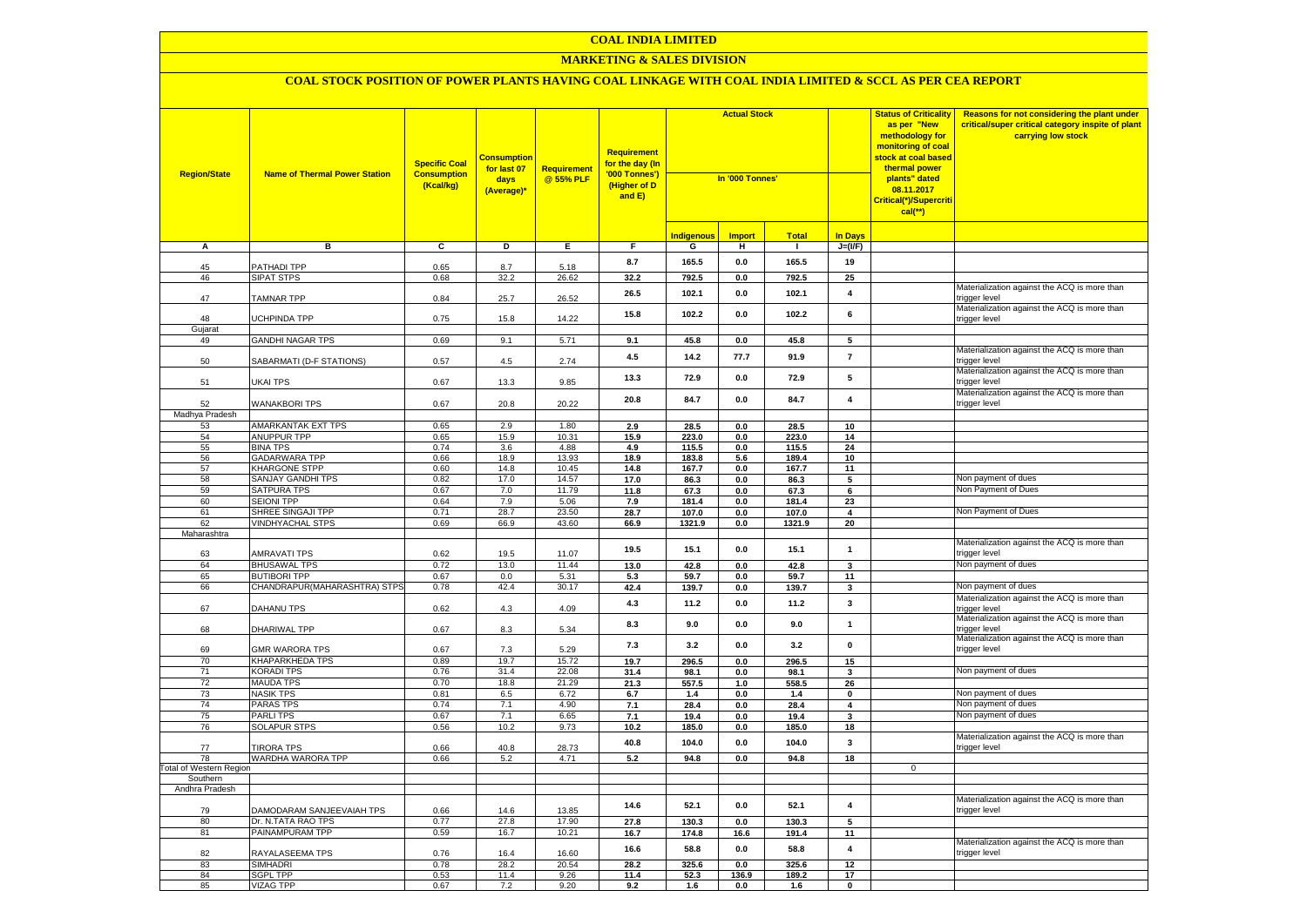#### **MARKETING & SALES DIVISION**

| <b>Region/State</b>     | <b>Name of Thermal Power Station</b> | <b>Specific Coal</b><br><b>Consumption</b><br>(Kcal/kg) | <b>Consumption</b><br>for last 07<br>days<br>(Average)* | <b>Requirement</b><br>@ 55% PLF | <b>Requirement</b><br>for the day (In<br>'000 Tonnes')<br>(Higher of D<br>and E) | <b>Actual Stock</b><br>In '000 Tonnes' |               |              |                         | <b>Status of Criticality</b><br>as per "New<br>methodology for<br><mark>monitoring of coal</mark><br><mark>stock at coal based</mark><br>thermal power<br>plants" dated<br>08.11.2017<br>Critical(*)/Supercriti<br>$cal$ (**) | Reasons for not considering the plant under<br>critical/super critical category inspite of plant<br>carrying low stock |
|-------------------------|--------------------------------------|---------------------------------------------------------|---------------------------------------------------------|---------------------------------|----------------------------------------------------------------------------------|----------------------------------------|---------------|--------------|-------------------------|-------------------------------------------------------------------------------------------------------------------------------------------------------------------------------------------------------------------------------|------------------------------------------------------------------------------------------------------------------------|
|                         |                                      |                                                         |                                                         |                                 |                                                                                  | <b>Indigenous</b>                      | <b>Import</b> | <b>Total</b> | <b>In Days</b>          |                                                                                                                                                                                                                               |                                                                                                                        |
| A                       | в                                    | $\overline{\mathbf{c}}$                                 | Þ                                                       | Е.                              | F.                                                                               | G                                      | н             | $\mathbf{I}$ | $J=(VF)$                |                                                                                                                                                                                                                               |                                                                                                                        |
|                         | <b>PATHADI TPP</b>                   |                                                         |                                                         |                                 | 8.7                                                                              | 165.5                                  | 0.0           | 165.5        | 19                      |                                                                                                                                                                                                                               |                                                                                                                        |
| 45<br>46                | <b>SIPAT STPS</b>                    | 0.65<br>0.68                                            | 8.7<br>32.2                                             | 5.18<br>26.62                   | 32.2                                                                             | 792.5                                  | 0.0           | 792.5        | 25                      |                                                                                                                                                                                                                               |                                                                                                                        |
|                         |                                      |                                                         |                                                         |                                 |                                                                                  |                                        |               |              | $\overline{4}$          |                                                                                                                                                                                                                               | Materialization against the ACQ is more than                                                                           |
| 47                      | <b>TAMNAR TPP</b>                    | 0.84                                                    | 25.7                                                    | 26.52                           | 26.5                                                                             | 102.1                                  | 0.0           | 102.1        |                         |                                                                                                                                                                                                                               | trigger level                                                                                                          |
| 48                      |                                      | 0.75                                                    |                                                         | 14.22                           | 15.8                                                                             | 102.2                                  | 0.0           | 102.2        | 6                       |                                                                                                                                                                                                                               | Materialization against the ACQ is more than                                                                           |
| Gujarat                 | <b>JCHPINDA TPP</b>                  |                                                         | 15.8                                                    |                                 |                                                                                  |                                        |               |              |                         |                                                                                                                                                                                                                               | trigger level                                                                                                          |
| 49                      | <b>GANDHI NAGAR TPS</b>              | 0.69                                                    | 9.1                                                     | 5.71                            | 9.1                                                                              | 45.8                                   | 0.0           | 45.8         | $\mathbf{5}$            |                                                                                                                                                                                                                               |                                                                                                                        |
|                         |                                      |                                                         |                                                         |                                 |                                                                                  |                                        |               |              |                         |                                                                                                                                                                                                                               | Materialization against the ACQ is more than                                                                           |
| 50                      | SABARMATI (D-F STATIONS)             | 0.57                                                    | $4.5\,$                                                 | 2.74                            | 4.5                                                                              | 14.2                                   | 77.7          | 91.9         | $\overline{7}$          |                                                                                                                                                                                                                               | trigger level                                                                                                          |
|                         |                                      |                                                         |                                                         |                                 | 13.3                                                                             | 72.9                                   | 0.0           | 72.9         | 5                       |                                                                                                                                                                                                                               | Materialization against the ACQ is more than                                                                           |
| 51                      | UKAI TPS                             | 0.67                                                    | 13.3                                                    | 9.85                            |                                                                                  |                                        |               |              |                         |                                                                                                                                                                                                                               | rigger level<br>Materialization against the ACQ is more than                                                           |
| 52                      | <b>WANAKBORI TPS</b>                 | 0.67                                                    | 20.8                                                    | 20.22                           | 20.8                                                                             | 84.7                                   | 0.0           | 84.7         | $\overline{\mathbf{4}}$ |                                                                                                                                                                                                                               | trigger level                                                                                                          |
| Madhya Pradesh          |                                      |                                                         |                                                         |                                 |                                                                                  |                                        |               |              |                         |                                                                                                                                                                                                                               |                                                                                                                        |
| 53                      | AMARKANTAK EXT TPS                   | 0.65                                                    | 2.9                                                     | 1.80                            | 2.9                                                                              | 28.5                                   | 0.0           | 28.5         | 10                      |                                                                                                                                                                                                                               |                                                                                                                        |
| 54                      | ANUPPUR TPP                          | 0.65                                                    | 15.9                                                    | 10.31                           | 15.9                                                                             | 223.0                                  | 0.0           | 223.0        | 14                      |                                                                                                                                                                                                                               |                                                                                                                        |
| 55                      | <b>BINA TPS</b>                      | 0.74                                                    | 3.6                                                     | 4.88                            | 4.9                                                                              | 115.5                                  | 0.0           | 115.5        | 24                      |                                                                                                                                                                                                                               |                                                                                                                        |
| 56                      | <b>GADARWARA TPP</b>                 | 0.66                                                    | 18.9                                                    | 13.93                           | 18.9                                                                             | 183.8                                  | 5.6           | 189.4        | 10                      |                                                                                                                                                                                                                               |                                                                                                                        |
| 57                      | KHARGONE STPP                        | 0.60                                                    | 14.8                                                    | 10.45                           | 14.8                                                                             | 167.7                                  | 0.0           | 167.7        | 11                      |                                                                                                                                                                                                                               |                                                                                                                        |
| 58                      | SANJAY GANDHI TPS                    | 0.82                                                    | 17.0                                                    | 14.57                           | 17.0                                                                             | 86.3                                   | 0.0           | 86.3         | 5                       |                                                                                                                                                                                                                               | Non payment of dues                                                                                                    |
| 59                      | SATPURA TPS                          | 0.67                                                    | 7.0                                                     | 11.79                           | 11.8                                                                             | 67.3                                   | 0.0           | 67.3         | 6                       |                                                                                                                                                                                                                               | Non Payment of Dues                                                                                                    |
| 60                      | <b>SEIONI TPP</b>                    | 0.64                                                    | 7.9                                                     | 5.06                            | 7.9                                                                              | 181.4                                  | 0.0           | 181.4        | 23                      |                                                                                                                                                                                                                               |                                                                                                                        |
| 61                      | SHREE SINGAJI TPP                    | 0.71                                                    | 28.7                                                    | 23.50                           | 28.7                                                                             |                                        | 0.0           | 107.0        | $\overline{\mathbf{4}}$ |                                                                                                                                                                                                                               | Non Payment of Dues                                                                                                    |
|                         |                                      |                                                         |                                                         | 43.60                           |                                                                                  | 107.0                                  |               |              | 20                      |                                                                                                                                                                                                                               |                                                                                                                        |
| 62                      | <b>VINDHYACHAL STPS</b>              | 0.69                                                    | 66.9                                                    |                                 | 66.9                                                                             | 1321.9                                 | 0.0           | 1321.9       |                         |                                                                                                                                                                                                                               |                                                                                                                        |
| Maharashtra             |                                      |                                                         |                                                         |                                 |                                                                                  |                                        |               |              |                         |                                                                                                                                                                                                                               | Materialization against the ACQ is more than                                                                           |
| 63                      | AMRAVATI TPS                         | 0.62                                                    | 19.5                                                    | 11.07                           | 19.5                                                                             | 15.1                                   | 0.0           | 15.1         | $\mathbf{1}$            |                                                                                                                                                                                                                               | trigger level                                                                                                          |
|                         |                                      |                                                         |                                                         |                                 |                                                                                  |                                        |               |              |                         |                                                                                                                                                                                                                               | Non payment of dues                                                                                                    |
| 64                      | <b>BHUSAWAL TPS</b>                  | 0.72                                                    | 13.0                                                    | 11.44                           | 13.0                                                                             | 42.8                                   | 0.0           | 42.8         | 3                       |                                                                                                                                                                                                                               |                                                                                                                        |
| 65                      | <b>BUTIBORI TPP</b>                  | 0.67                                                    | 0.0                                                     | 5.31                            | 5.3                                                                              | 59.7                                   | 0.0           | 59.7         | 11                      |                                                                                                                                                                                                                               |                                                                                                                        |
| 66                      | CHANDRAPUR(MAHARASHTRA) STPS         | 0.78                                                    | 42.4                                                    | 30.17                           | 42.4                                                                             | 139.7                                  | $0.0\,$       | 139.7        | $\mathbf{3}$            |                                                                                                                                                                                                                               | Non payment of dues                                                                                                    |
|                         |                                      |                                                         |                                                         |                                 | 4.3                                                                              | 11.2                                   | 0.0           | 11.2         | $\mathbf{3}$            |                                                                                                                                                                                                                               | Materialization against the ACQ is more than                                                                           |
| 67                      | DAHANU TPS                           | 0.62                                                    | 4.3                                                     | 4.09                            |                                                                                  |                                        |               |              |                         |                                                                                                                                                                                                                               | rigger level                                                                                                           |
|                         |                                      |                                                         |                                                         |                                 | 8.3                                                                              | 9.0                                    | 0.0           | 9.0          | $\mathbf{1}$            |                                                                                                                                                                                                                               | Materialization against the ACQ is more than                                                                           |
| 68                      | DHARIWAL TPP                         | 0.67                                                    | 8.3                                                     | 5.34                            |                                                                                  |                                        |               |              |                         |                                                                                                                                                                                                                               | rigger level                                                                                                           |
| 69                      | GMR WARORA TPS                       | 0.67                                                    | 7.3                                                     | 5.29                            | 7.3                                                                              | 3.2                                    | 0.0           | 3.2          | 0                       |                                                                                                                                                                                                                               | Materialization against the ACQ is more than<br>trigger level                                                          |
| 70                      | KHAPARKHEDA TPS                      | 0.89                                                    | 19.7                                                    | 15.72                           | 19.7                                                                             | 296.5                                  | 0.0           | 296.5        | 15                      |                                                                                                                                                                                                                               |                                                                                                                        |
|                         |                                      |                                                         |                                                         |                                 |                                                                                  |                                        |               |              |                         |                                                                                                                                                                                                                               |                                                                                                                        |
| 71                      | <b>KORADI TPS</b>                    | 0.76                                                    | 31.4                                                    | 22.08                           | 31.4                                                                             | 98.1                                   | 0.0           | 98.1         | 3                       |                                                                                                                                                                                                                               | Non payment of dues                                                                                                    |
| 72                      | <b>MAUDA TPS</b>                     | 0.70                                                    | 18.8                                                    | 21.29                           | 21.3                                                                             | 557.5                                  | 1.0           | 558.5        | 26                      |                                                                                                                                                                                                                               |                                                                                                                        |
| 73                      | <b>NASIK TPS</b>                     | 0.81                                                    | 6.5                                                     | 6.72                            | 6.7                                                                              | 1.4                                    | $0.0\,$       | 1.4          | 0                       |                                                                                                                                                                                                                               | Non payment of dues                                                                                                    |
| 74                      | <b>PARAS TPS</b>                     | 0.74                                                    | 7.1                                                     | 4.90                            | 7.1                                                                              | 28.4                                   | 0.0           | 28.4         | 4                       |                                                                                                                                                                                                                               | Non payment of dues                                                                                                    |
| 75                      | PARLI TPS                            | 0.67                                                    | 7.1                                                     | 6.65                            | 7.1                                                                              | 19.4                                   | 0.0           | 19.4         | 3                       |                                                                                                                                                                                                                               | Non payment of dues                                                                                                    |
| 76                      | <b>SOLAPUR STPS</b>                  | 0.56                                                    | 10.2                                                    | 9.73                            | 10.2                                                                             | 185.0                                  | 0.0           | 185.0        | 18                      |                                                                                                                                                                                                                               |                                                                                                                        |
| 77                      | <b>TIRORA TPS</b>                    | 0.66                                                    | 40.8                                                    | 28.73                           | 40.8                                                                             | 104.0                                  | $0.0\,$       | 104.0        | $\overline{\mathbf{3}}$ |                                                                                                                                                                                                                               | Materialization against the ACQ is more than                                                                           |
| 78                      | WARDHA WARORA TPP                    | 0.66                                                    | 5.2                                                     | 4.71                            | 5.2                                                                              | 94.8                                   | 0.0           | 94.8         | 18                      |                                                                                                                                                                                                                               | trigger level                                                                                                          |
| Total of Western Region |                                      |                                                         |                                                         |                                 |                                                                                  |                                        |               |              |                         | $\overline{0}$                                                                                                                                                                                                                |                                                                                                                        |
| Southern                |                                      |                                                         |                                                         |                                 |                                                                                  |                                        |               |              |                         |                                                                                                                                                                                                                               |                                                                                                                        |
| Andhra Pradesh          |                                      |                                                         |                                                         |                                 |                                                                                  |                                        |               |              |                         |                                                                                                                                                                                                                               |                                                                                                                        |
|                         |                                      |                                                         |                                                         |                                 |                                                                                  |                                        |               |              |                         |                                                                                                                                                                                                                               | Materialization against the ACQ is more than                                                                           |
| 79                      | DAMODARAM SANJEEVAIAH TPS            | 0.66                                                    | 14.6                                                    | 13.85                           | 14.6                                                                             | 52.1                                   | 0.0           | 52.1         | 4                       |                                                                                                                                                                                                                               | trigger level                                                                                                          |
| 80                      | Dr. N.TATA RAO TPS                   | 0.77                                                    | 27.8                                                    | 17.90                           | 27.8                                                                             | 130.3                                  | 0.0           | 130.3        | 5                       |                                                                                                                                                                                                                               |                                                                                                                        |
| 81                      | PAINAMPURAM TPP                      | 0.59                                                    | 16.7                                                    | 10.21                           | 16.7                                                                             | 174.8                                  | 16.6          | 191.4        | 11                      |                                                                                                                                                                                                                               |                                                                                                                        |
|                         |                                      |                                                         |                                                         |                                 |                                                                                  |                                        |               |              |                         |                                                                                                                                                                                                                               | Materialization against the ACQ is more than                                                                           |
| 82                      | RAYALASEEMA TPS                      | 0.76                                                    | 16.4                                                    | 16.60                           | 16.6                                                                             | 58.8                                   | $0.0\,$       | 58.8         | $\pmb{4}$               |                                                                                                                                                                                                                               | trigger level                                                                                                          |
| 83                      | <b>SIMHADRI</b>                      | 0.78                                                    | 28.2                                                    | 20.54                           | 28.2                                                                             | 325.6                                  | 0.0           | 325.6        | $\overline{12}$         |                                                                                                                                                                                                                               |                                                                                                                        |
| 84                      | <b>SGPL TPP</b>                      | 0.53                                                    | 11.4                                                    | 9.26                            | 11.4                                                                             | 52.3                                   | 136.9         | 189.2        | 17                      |                                                                                                                                                                                                                               |                                                                                                                        |
| 85                      | <b>VIZAG TPP</b>                     | 0.67                                                    | 7.2                                                     | 9.20                            | 9.2                                                                              | 1.6                                    | 0.0           | 1.6          | $\overline{\mathbf{0}}$ |                                                                                                                                                                                                                               |                                                                                                                        |
|                         |                                      |                                                         |                                                         |                                 |                                                                                  |                                        |               |              |                         |                                                                                                                                                                                                                               |                                                                                                                        |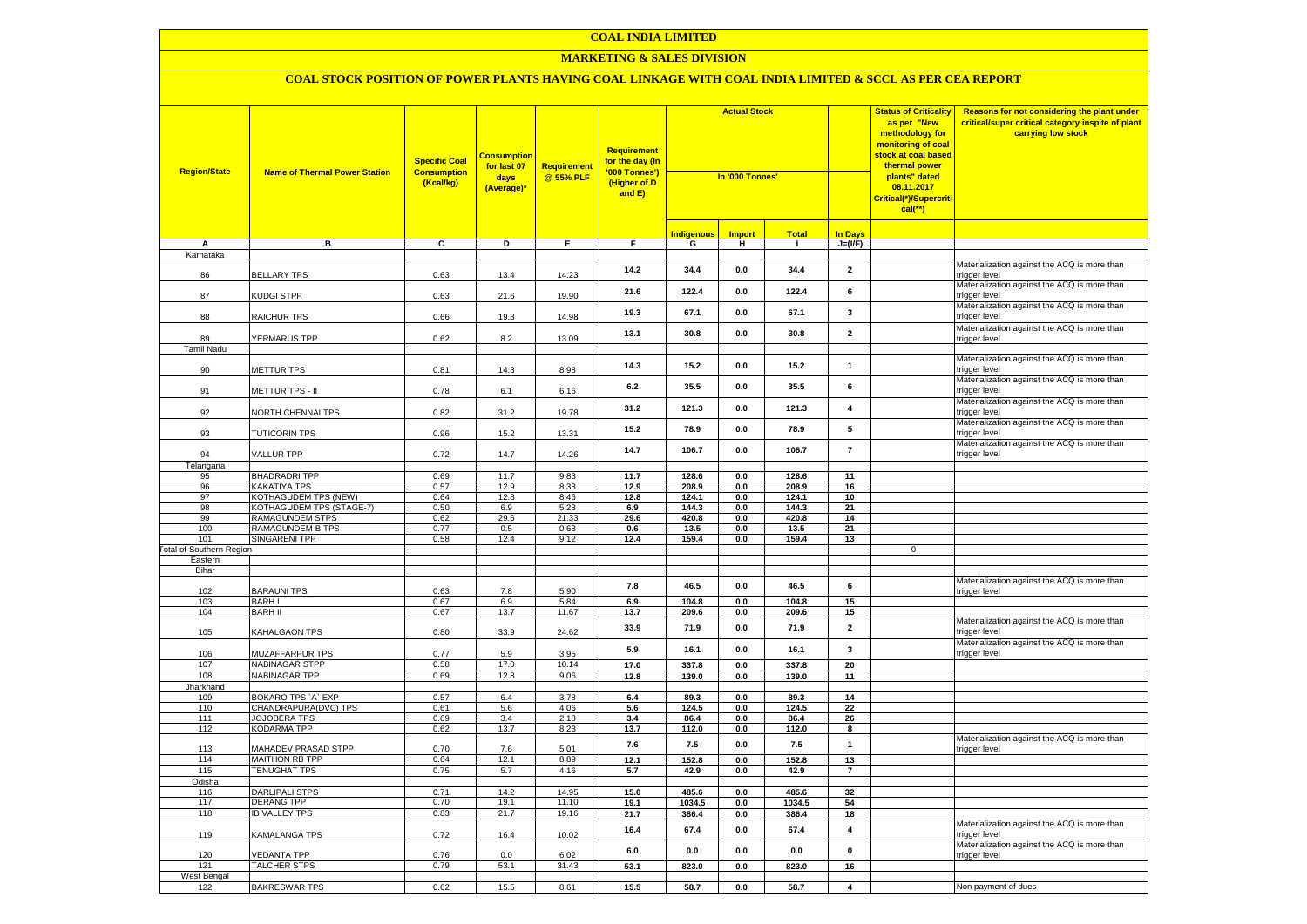#### **MARKETING & SALES DIVISION**

| <b>Region/State</b>             | <b>Name of Thermal Power Station</b>                    | <b>Specific Coal</b><br><b>Consumption</b><br>(Kcal/kg) | <u>Consumption</u><br>for last 07<br>days<br>(Average)* | <b>Requirement</b><br>@ 55% PLF | Requirement<br>for the day (In<br>'000 Tonnes')<br>(Higher of D<br>and E) | <b>Actual Stock</b><br>In '000 Tonnes' |               |                |                         | <b>Status of Criticality</b><br>as per "New<br>methodology for<br>monitoring of coal<br>stock at coal based<br>thermal power<br>plants" dated<br>08.11.2017<br>Critical(*)/Supercriti<br>$cal$ (**) | Reasons for not considering the plant under<br>critical/super critical category inspite of plant<br>carrying low stock |
|---------------------------------|---------------------------------------------------------|---------------------------------------------------------|---------------------------------------------------------|---------------------------------|---------------------------------------------------------------------------|----------------------------------------|---------------|----------------|-------------------------|-----------------------------------------------------------------------------------------------------------------------------------------------------------------------------------------------------|------------------------------------------------------------------------------------------------------------------------|
|                                 |                                                         |                                                         |                                                         |                                 |                                                                           | <mark>Indigenous</mark>                | <b>Import</b> | <b>Total</b>   | <b>In Days</b>          |                                                                                                                                                                                                     |                                                                                                                        |
| A                               | в                                                       | C                                                       | D                                                       | Е.                              | F.                                                                        | G                                      | н             | $\mathbf{I}$   | $J=(VF)$                |                                                                                                                                                                                                     |                                                                                                                        |
| Karnataka                       |                                                         |                                                         |                                                         |                                 |                                                                           |                                        |               |                |                         |                                                                                                                                                                                                     |                                                                                                                        |
| 86                              | <b>BELLARY TPS</b>                                      | 0.63                                                    | 13.4                                                    | 14.23                           | 14.2                                                                      | 34.4                                   | 0.0           | 34.4           | $\overline{2}$          |                                                                                                                                                                                                     | Materialization against the ACQ is more than<br>trigger level                                                          |
| 87                              | KUDGI STPP                                              | 0.63                                                    | 21.6                                                    | 19.90                           | 21.6                                                                      | 122.4                                  | 0.0           | 122.4          | 6                       |                                                                                                                                                                                                     | Materialization against the ACQ is more than<br>trigger level                                                          |
| 88                              | RAICHUR TPS                                             | 0.66                                                    | 19.3                                                    | 14.98                           | 19.3                                                                      | 67.1                                   | 0.0           | 67.1           | $\mathbf{3}$            |                                                                                                                                                                                                     | Materialization against the ACQ is more than<br>rigger level                                                           |
| 89                              | <b>YERMARUS TPP</b>                                     | 0.62                                                    | 8.2                                                     | 13.09                           | 13.1                                                                      | 30.8                                   | 0.0           | 30.8           | $\overline{\mathbf{2}}$ |                                                                                                                                                                                                     | Materialization against the ACQ is more than<br>trigger level                                                          |
| <b>Tamil Nadu</b>               |                                                         |                                                         |                                                         |                                 |                                                                           |                                        |               |                |                         |                                                                                                                                                                                                     |                                                                                                                        |
| 90                              | <b>METTUR TPS</b>                                       | 0.81                                                    | 14.3                                                    | 8.98                            | 14.3                                                                      | 15.2                                   | 0.0           | 15.2           | $\overline{1}$          |                                                                                                                                                                                                     | Materialization against the ACQ is more than<br>rigger level                                                           |
| 91                              | METTUR TPS - II                                         | 0.78                                                    | 6.1                                                     | 6.16                            | 6.2                                                                       | 35.5                                   | 0.0           | 35.5           | 6                       |                                                                                                                                                                                                     | Materialization against the ACQ is more than<br>trigger level                                                          |
| 92                              | <b>VORTH CHENNAI TPS</b>                                | 0.82                                                    | 31.2                                                    | 19.78                           | 31.2                                                                      | 121.3                                  | 0.0           | 121.3          | $\overline{\mathbf{4}}$ |                                                                                                                                                                                                     | Materialization against the ACQ is more than<br>trigger level                                                          |
| 93                              | <b>TUTICORIN TPS</b>                                    | 0.96                                                    | 15.2                                                    | 13.31                           | 15.2                                                                      | 78.9                                   | 0.0           | 78.9           | 5                       |                                                                                                                                                                                                     | Materialization against the ACQ is more than<br>rigger level                                                           |
| 94                              | <b>VALLUR TPP</b>                                       | 0.72                                                    | 14.7                                                    | 14.26                           | 14.7                                                                      | 106.7                                  | 0.0           | 106.7          | $\overline{7}$          |                                                                                                                                                                                                     | Materialization against the ACQ is more than<br>trigger level                                                          |
| Telangana                       |                                                         |                                                         |                                                         |                                 |                                                                           |                                        |               |                |                         |                                                                                                                                                                                                     |                                                                                                                        |
| 95                              | <b>BHADRADRI TPP</b>                                    | 0.69                                                    | 11.7                                                    | 9.83                            | 11.7                                                                      | 128.6                                  | 0.0           | 128.6          | 11                      |                                                                                                                                                                                                     |                                                                                                                        |
| 96                              | <b>KAKATIYA TPS</b>                                     | 0.57<br>0.64                                            | 12.9                                                    | 8.33                            | 12.9                                                                      | 208.9                                  | 0.0           | 208.9          | 16                      |                                                                                                                                                                                                     |                                                                                                                        |
| 97<br>98                        | KOTHAGUDEM TPS (NEW)<br><b>KOTHAGUDEM TPS (STAGE-7)</b> | 0.50                                                    | 12.8<br>6.9                                             | 8.46<br>5.23                    | 12.8<br>6.9                                                               | 124.1<br>144.3                         | 0.0<br>0.0    | 124.1<br>144.3 | 10<br>21                |                                                                                                                                                                                                     |                                                                                                                        |
| 99                              | RAMAGUNDEM STPS                                         | 0.62                                                    | 29.6                                                    | 21.33                           | 29.6                                                                      | 420.8                                  | 0.0           | 420.8          | 14                      |                                                                                                                                                                                                     |                                                                                                                        |
| 100                             | RAMAGUNDEM-B TPS                                        | 0.77                                                    | 0.5                                                     | 0.63                            | 0.6                                                                       | 13.5                                   | 0.0           | 13.5           | 21                      |                                                                                                                                                                                                     |                                                                                                                        |
| 101                             | <b>SINGARENI TPP</b>                                    | 0.58                                                    | 12.4                                                    | 9.12                            | 12.4                                                                      | 159.4                                  | 0.0           | 159.4          | 13                      |                                                                                                                                                                                                     |                                                                                                                        |
| <b>Total of Southern Region</b> |                                                         |                                                         |                                                         |                                 |                                                                           |                                        |               |                |                         | $\mathbf 0$                                                                                                                                                                                         |                                                                                                                        |
| Eastern                         |                                                         |                                                         |                                                         |                                 |                                                                           |                                        |               |                |                         |                                                                                                                                                                                                     |                                                                                                                        |
| Bihar                           |                                                         |                                                         |                                                         |                                 |                                                                           |                                        |               |                |                         |                                                                                                                                                                                                     |                                                                                                                        |
| 102                             | <b>BARAUNI TPS</b>                                      | 0.63                                                    | 7.8                                                     | 5.90                            | 7.8                                                                       | 46.5                                   | 0.0           | 46.5           | 6                       |                                                                                                                                                                                                     | Materialization against the ACQ is more than<br>rigger level                                                           |
| 103                             | <b>BARH I</b>                                           | 0.67                                                    | 6.9                                                     | 5.84                            | 6.9                                                                       | 104.8                                  | 0.0           | 104.8          | 15                      |                                                                                                                                                                                                     |                                                                                                                        |
| 104                             | <b>BARH II</b>                                          | 0.67                                                    | 13.7                                                    | 11.67                           | 13.7                                                                      | 209.6                                  | 0.0           | 209.6          | 15                      |                                                                                                                                                                                                     |                                                                                                                        |
| 105                             | KAHALGAON TPS                                           | 0.80                                                    | 33.9                                                    | 24.62                           | 33.9                                                                      | 71.9                                   | 0.0           | 71.9           | $\overline{2}$          |                                                                                                                                                                                                     | Materialization against the ACQ is more than<br>rigger level                                                           |
| 106                             | MUZAFFARPUR TPS                                         | 0.77                                                    | 5.9                                                     | 3.95                            | 5.9                                                                       | 16.1                                   | 0.0           | 16.1           | $\mathbf{3}$            |                                                                                                                                                                                                     | Materialization against the ACQ is more than<br>rigger level                                                           |
| 107                             | NABINAGAR STPP                                          | 0.58                                                    | 17.0                                                    | 10.14                           | 17.0                                                                      | 337.8                                  | 0.0           | 337.8          | 20                      |                                                                                                                                                                                                     |                                                                                                                        |
| 108                             | <b>NABINAGAR TPP</b>                                    | 0.69                                                    | 12.8                                                    | 9.06                            | 12.8                                                                      | 139.0                                  | 0.0           | 139.0          | 11                      |                                                                                                                                                                                                     |                                                                                                                        |
| Jharkhand                       |                                                         | 0.57                                                    | 6.4                                                     |                                 |                                                                           | 89.3                                   |               | 89.3           | 14                      |                                                                                                                                                                                                     |                                                                                                                        |
| 109<br>110                      | BOKARO TPS 'A' EXP<br>CHANDRAPURA(DVC) TPS              | 0.61                                                    | 5.6                                                     | 3.78<br>4.06                    | 6.4<br>5.6                                                                | 124.5                                  | 0.0<br>0.0    | 124.5          | 22                      |                                                                                                                                                                                                     |                                                                                                                        |
| 111                             | <b>JOJOBERA TPS</b>                                     | 0.69                                                    | 3.4                                                     | 2.18                            | 3.4                                                                       | 86.4                                   | 0.0           | 86.4           | 26                      |                                                                                                                                                                                                     |                                                                                                                        |
| 112                             | <b>KODARMA TPP</b>                                      | 0.62                                                    | 13.7                                                    | 8.23                            | 13.7                                                                      | 112.0                                  | 0.0           | 112.0          | 8                       |                                                                                                                                                                                                     |                                                                                                                        |
| 113                             | MAHADEV PRASAD STPP                                     | 0.70                                                    | 7.6                                                     | 5.01                            | 7.6                                                                       | 7.5                                    | 0.0           | 7.5            | $\mathbf{1}$            |                                                                                                                                                                                                     | Materialization against the ACQ is more than<br>rigger level                                                           |
| 114                             | <b>MAITHON RB TPP</b>                                   | 0.64                                                    | 12.1                                                    | 8.89                            | 12.1                                                                      | 152.8                                  | 0.0           | 152.8          | 13                      |                                                                                                                                                                                                     |                                                                                                                        |
| 115                             | <b>TENUGHAT TPS</b>                                     | 0.75                                                    | 5.7                                                     | 4.16                            | 5.7                                                                       | 42.9                                   | 0.0           | 42.9           | $\overline{7}$          |                                                                                                                                                                                                     |                                                                                                                        |
| Odisha                          |                                                         |                                                         |                                                         |                                 |                                                                           |                                        |               |                |                         |                                                                                                                                                                                                     |                                                                                                                        |
| 116                             | <b>DARLIPALI STPS</b>                                   | 0.71                                                    | 14.2                                                    | 14.95                           | 15.0                                                                      | 485.6                                  | 0.0           | 485.6          | 32                      |                                                                                                                                                                                                     |                                                                                                                        |
| 117                             | <b>DERANG TPP</b>                                       | 0.70                                                    | 19.1                                                    | 11.10                           | 19.1                                                                      | 1034.5                                 | 0.0           | 1034.5         | 54                      |                                                                                                                                                                                                     |                                                                                                                        |
| 118                             | <b>IB VALLEY TPS</b>                                    | 0.83                                                    | 21.7                                                    | 19.16                           | 21.7                                                                      | 386.4                                  | 0.0           | 386.4          | 18                      |                                                                                                                                                                                                     | Materialization against the ACQ is more than                                                                           |
| 119                             | KAMALANGA TPS                                           | 0.72                                                    | 16.4                                                    | 10.02                           | 16.4                                                                      | 67.4                                   | 0.0           | 67.4           | $\overline{\mathbf{4}}$ |                                                                                                                                                                                                     | rigger level                                                                                                           |
| 120                             | <b>VEDANTA TPP</b>                                      | 0.76                                                    | 0.0                                                     | 6.02                            | 6.0                                                                       | 0.0                                    | 0.0           | 0.0            | $\pmb{0}$               |                                                                                                                                                                                                     | Materialization against the ACQ is more than<br>trigger level                                                          |
| 121                             | <b>TALCHER STPS</b>                                     | 0.79                                                    | 53.1                                                    | 31.43                           | 53.1                                                                      | 823.0                                  | 0.0           | 823.0          | 16                      |                                                                                                                                                                                                     |                                                                                                                        |
| West Bengal<br>122              | <b>BAKRESWAR TPS</b>                                    | 0.62                                                    | 15.5                                                    | 8.61                            | 15.5                                                                      | 58.7                                   | 0.0           | 58.7           | $\overline{\mathbf{4}}$ |                                                                                                                                                                                                     | Non payment of dues                                                                                                    |
|                                 |                                                         |                                                         |                                                         |                                 |                                                                           |                                        |               |                |                         |                                                                                                                                                                                                     |                                                                                                                        |